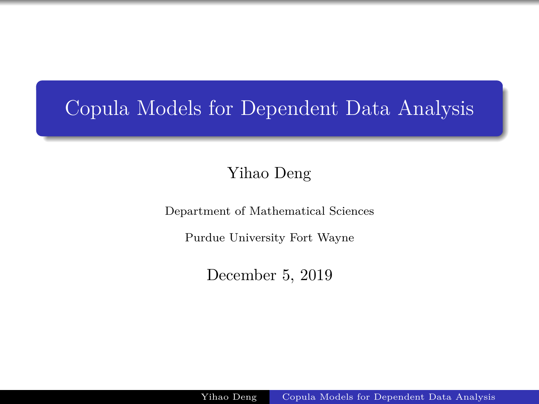### <span id="page-0-0"></span>Copula Models for Dependent Data Analysis

Yihao Deng

Department of Mathematical Sciences

Purdue University Fort Wayne

December 5, 2019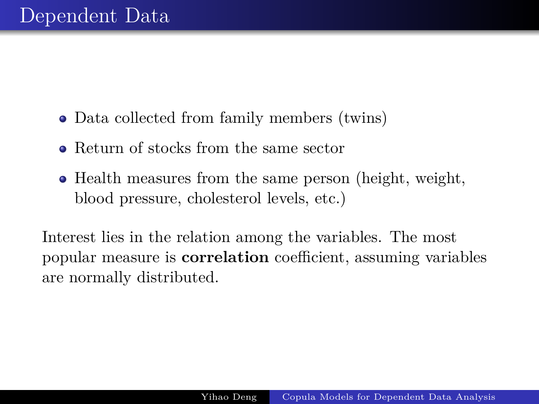- Data collected from family members (twins)
- Return of stocks from the same sector
- Health measures from the same person (height, weight, blood pressure, cholesterol levels, etc.)

Interest lies in the relation among the variables. The most popular measure is **correlation** coefficient, assuming variables are normally distributed.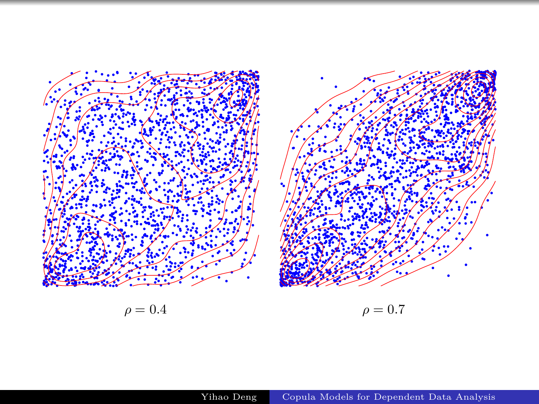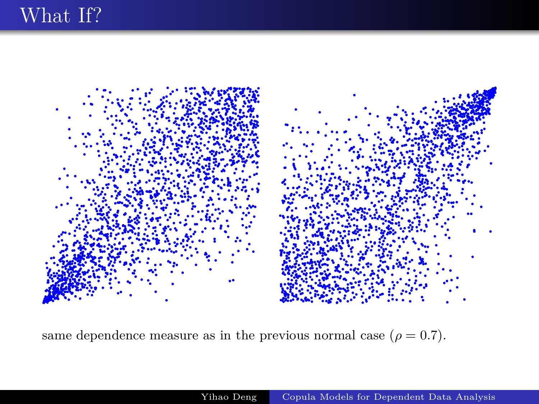

same dependence measure as in the previous normal case ( $\rho = 0.7$ ).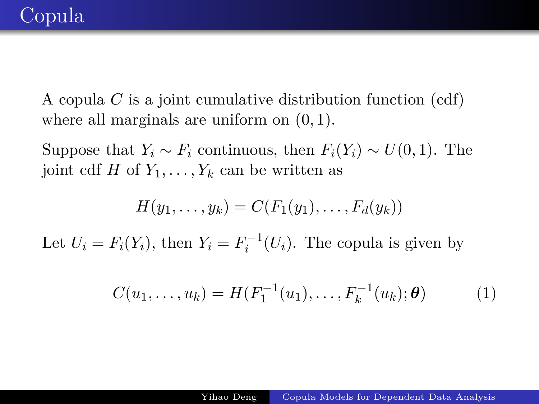A copula *C* is a joint cumulative distribution function (cdf) where all marginals are uniform on (0*,* 1).

Suppose that  $Y_i \sim F_i$  continuous, then  $F_i(Y_i) \sim U(0, 1)$ . The joint cdf *H* of  $Y_1, \ldots, Y_k$  can be written as

$$
H(y_1,\ldots,y_k)=C(F_1(y_1),\ldots,F_d(y_k))
$$

Let  $U_i = F_i(Y_i)$ , then  $Y_i = F_i^{-1}(U_i)$ . The copula is given by

$$
C(u_1, \ldots, u_k) = H(F_1^{-1}(u_1), \ldots, F_k^{-1}(u_k); \theta)
$$
 (1)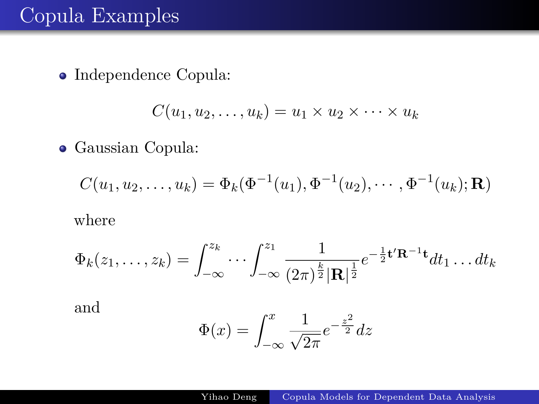#### Copula Examples

Independence Copula:

$$
C(u_1, u_2, \dots, u_k) = u_1 \times u_2 \times \dots \times u_k
$$

Gaussian Copula:

$$
C(u_1, u_2, \dots, u_k) = \Phi_k(\Phi^{-1}(u_1), \Phi^{-1}(u_2), \dots, \Phi^{-1}(u_k); \mathbf{R})
$$

where

$$
\Phi_k(z_1,\ldots,z_k) = \int_{-\infty}^{z_k} \cdots \int_{-\infty}^{z_1} \frac{1}{(2\pi)^{\frac{k}{2}} |\mathbf{R}|^{\frac{1}{2}}} e^{-\frac{1}{2} \mathbf{t}' \mathbf{R}^{-1} \mathbf{t}} dt_1 \ldots dt_k
$$

and

$$
\Phi(x) = \int_{-\infty}^{x} \frac{1}{\sqrt{2\pi}} e^{-\frac{z^2}{2}} dz
$$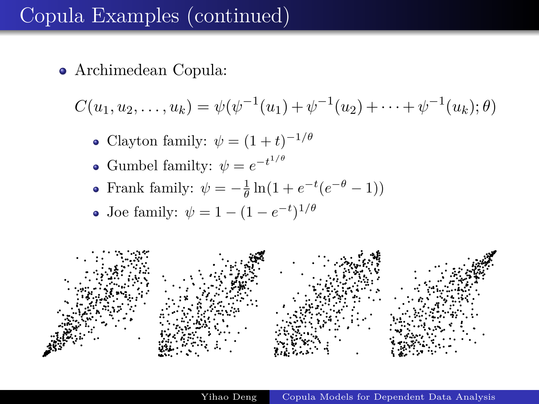## Copula Examples (continued)

Archimedean Copula:

$$
C(u_1, u_2, \dots, u_k) = \psi(\psi^{-1}(u_1) + \psi^{-1}(u_2) + \dots + \psi^{-1}(u_k); \theta)
$$

- Clayton family:  $\psi = (1 + t)^{-1/\theta}$
- Gumbel familty:  $\psi = e^{-t^{1/\theta}}$
- Frank family:  $\psi = -\frac{1}{\theta} \ln(1 + e^{-t}(e^{-\theta} 1))$
- Joe family:  $\psi = 1 (1 e^{-t})^{1/\theta}$

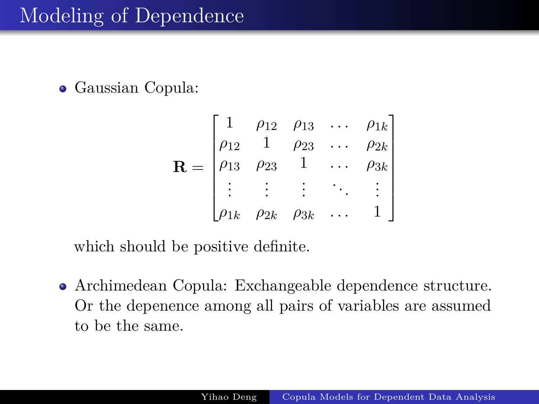Gaussian Copula:

$$
\mathbf{R} = \begin{bmatrix} 1 & \rho_{12} & \rho_{13} & \dots & \rho_{1k} \\ \rho_{12} & 1 & \rho_{23} & \dots & \rho_{2k} \\ \rho_{13} & \rho_{23} & 1 & \dots & \rho_{3k} \\ \vdots & \vdots & \vdots & \ddots & \vdots \\ \rho_{1k} & \rho_{2k} & \rho_{3k} & \dots & 1 \end{bmatrix}
$$

which should be positive definite.

Archimedean Copula: Exchangeable dependence structure. Or the depenence among all pairs of variables are assumed to be the same.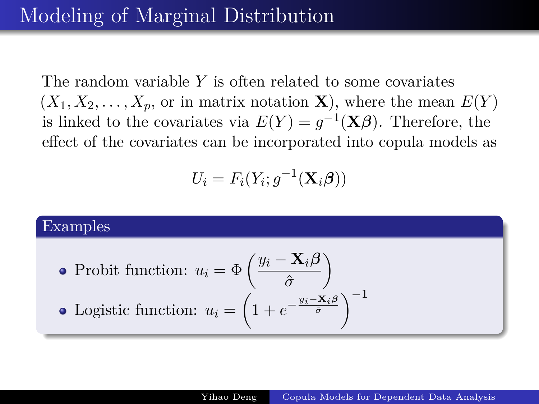The random variable *Y* is often related to some covariates  $(X_1, X_2, \ldots, X_p,$  or in matrix notation **X**), where the mean  $E(Y)$ is linked to the covariates via  $E(Y) = g^{-1}(\mathbf{X}\boldsymbol{\beta})$ . Therefore, the effect of the covariates can be incorporated into copula models as

$$
U_i = F_i(Y_i; g^{-1}(\mathbf{X}_i \boldsymbol{\beta}))
$$

## Examples Probit function:  $u_i = \Phi\left(\frac{y_i - \mathbf{X}_i\boldsymbol{\beta}}{\hat{\tau}}\right)$ *σ*ˆ  $\setminus$ Logistic function:  $u_i = \left(1 + e^{-\frac{y_i - \mathbf{X}_i \beta}{\hat{\sigma}}}\right)^{-1}$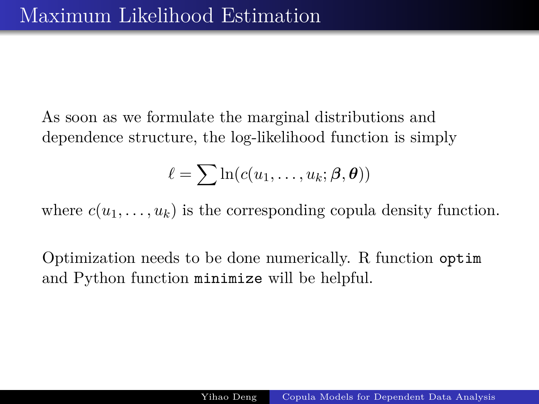As soon as we formulate the marginal distributions and dependence structure, the log-likelihood function is simply

$$
\ell = \sum \ln(c(u_1, \ldots, u_k; \beta, \theta))
$$

where  $c(u_1, \ldots, u_k)$  is the corresponding copula density function.

Optimization needs to be done numerically. R function optim and Python function minimize will be helpful.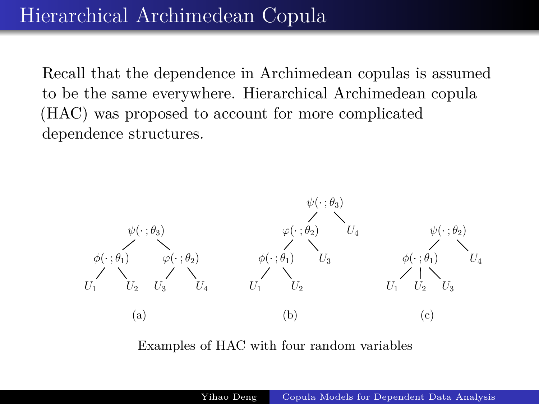Recall that the dependence in Archimedean copulas is assumed to be the same everywhere. Hierarchical Archimedean copula (HAC) was proposed to account for more complicated dependence structures.



Examples of HAC with four random variables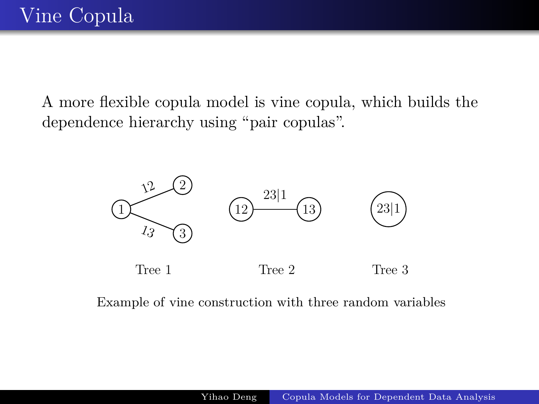A more flexible copula model is vine copula, which builds the dependence hierarchy using "pair copulas".



Example of vine construction with three random variables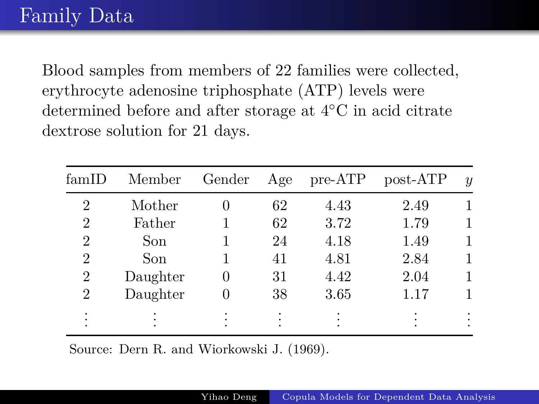Blood samples from members of 22 families were collected, erythrocyte adenosine triphosphate (ATP) levels were determined before and after storage at 4◦C in acid citrate dextrose solution for 21 days.

| famID          | Member   | Gender | Age | $pre-ATP$ | post-ATP | $\boldsymbol{y}$ |
|----------------|----------|--------|-----|-----------|----------|------------------|
| $\overline{2}$ | Mother   |        | 62  | 4.43      | 2.49     |                  |
| 2              | Father   |        | 62  | 3.72      | 1.79     |                  |
| $\overline{2}$ | Son      |        | 24  | 4.18      | 1.49     |                  |
| $\overline{2}$ | Son      |        | 41  | 4.81      | 2.84     |                  |
| $\overline{2}$ | Daughter |        | 31  | 4.42      | 2.04     |                  |
| 2              | Daughter |        | 38  | 3.65      | 1.17     |                  |
|                |          |        |     |           |          |                  |

Source: Dern R. and Wiorkowski J. (1969).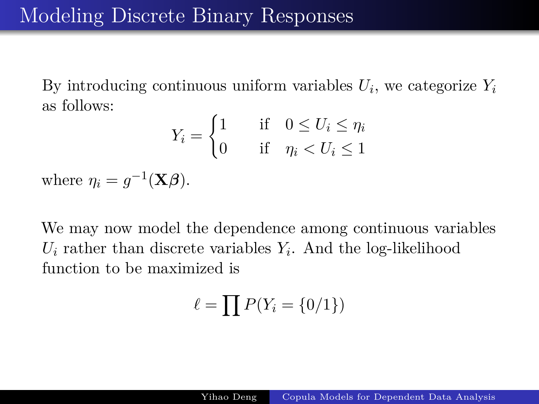By introducing continuous uniform variables  $U_i$ , we categorize  $Y_i$ as follows:

$$
Y_i = \begin{cases} 1 & \text{if } 0 \le U_i \le \eta_i \\ 0 & \text{if } \eta_i < U_i \le 1 \end{cases}
$$

where  $\eta_i = g^{-1}(\mathbf{X}\boldsymbol{\beta}).$ 

We may now model the dependence among continuous variables  $U_i$  rather than discrete variables  $Y_i$ . And the log-likelihood function to be maximized is

$$
\ell = \prod P(Y_i = \{0/1\})
$$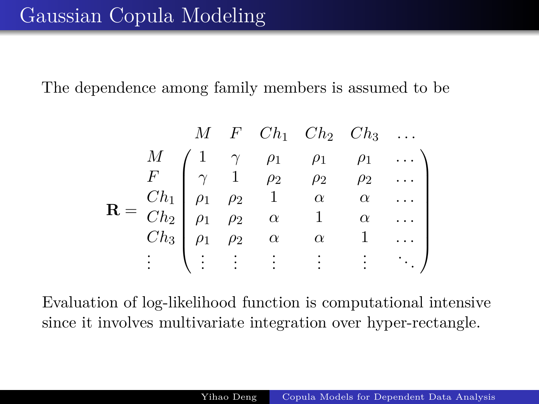The dependence among family members is assumed to be

$$
\mathbf{R} = \begin{pmatrix}\nM & F & Ch_1 & Ch_2 & Ch_3 & \dots \\
M & 1 & \gamma & \rho_1 & \rho_1 & \rho_1 & \dots \\
F & \gamma & 1 & \rho_2 & \rho_2 & \rho_2 & \dots \\
\rho_1 & \rho_1 & \rho_2 & 1 & \alpha & \alpha & \dots \\
\rho_1 & \rho_2 & \alpha & 1 & \alpha & \dots \\
h_3 & \rho_1 & \rho_2 & \alpha & \alpha & 1 & \dots \\
\vdots & \vdots & \vdots & \vdots & \vdots & \vdots & \ddots\n\end{pmatrix}
$$

Evaluation of log-likelihood function is computational intensive since it involves multivariate integration over hyper-rectangle.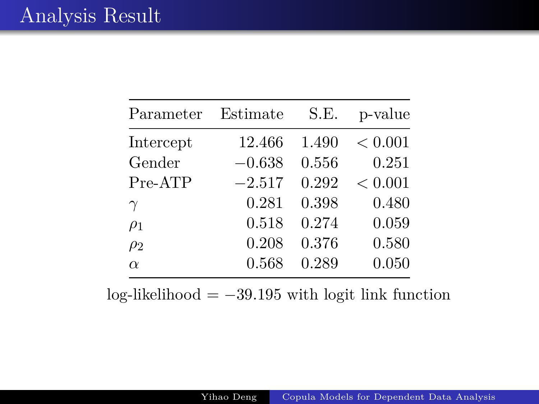| Parameter | Estimate | S.E.  | p-value |
|-----------|----------|-------|---------|
| Intercept | 12.466   | 1.490 | < 0.001 |
| Gender    | $-0.638$ | 0.556 | 0.251   |
| Pre-ATP   | $-2.517$ | 0.292 | < 0.001 |
| $\gamma$  | 0.281    | 0.398 | 0.480   |
| $\rho_1$  | 0.518    | 0.274 | 0.059   |
| $\rho_2$  | 0.208    | 0.376 | 0.580   |
| $\alpha$  | 0.568    | 0.289 | 0.050   |

log-likelihood = −39*.*195 with logit link function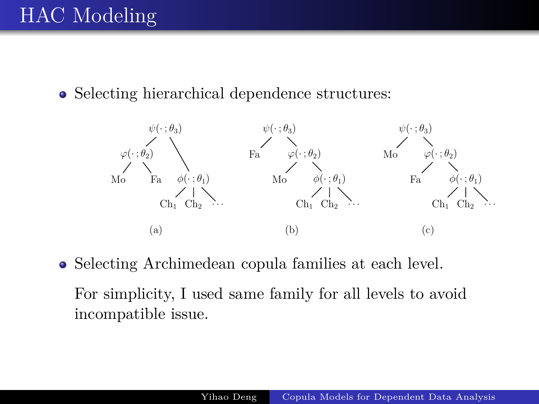• Selecting hierarchical dependence structures:



Selecting Archimedean copula families at each level.

For simplicity, I used same family for all levels to avoid incompatible issue.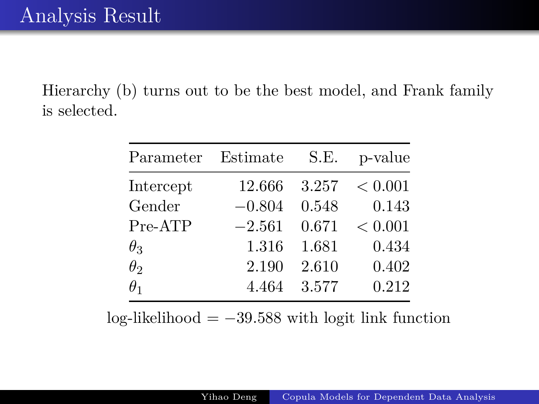Hierarchy (b) turns out to be the best model, and Frank family is selected.

| Parameter  | Estimate | S.E.  | p-value |
|------------|----------|-------|---------|
| Intercept  | 12.666   | 3.257 | < 0.001 |
| Gender     | $-0.804$ | 0.548 | 0.143   |
| Pre-ATP    | $-2.561$ | 0.671 | < 0.001 |
| $\theta_3$ | 1.316    | 1.681 | 0.434   |
| $\theta_2$ | 2.190    | 2.610 | 0.402   |
| $\theta_1$ | 4.464    | 3.577 | 0.212   |

log-likelihood = −39*.*588 with logit link function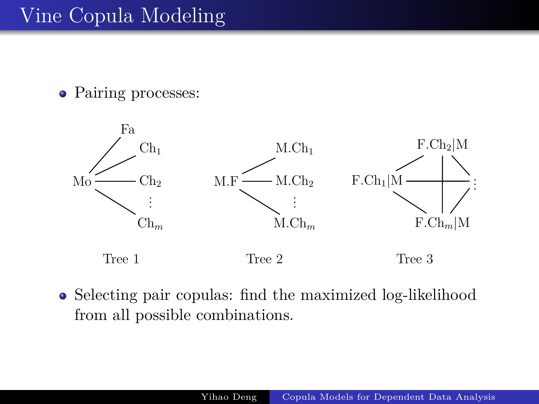## Vine Copula Modeling

• Pairing processes:



• Selecting pair copulas: find the maximized log-likelihood from all possible combinations.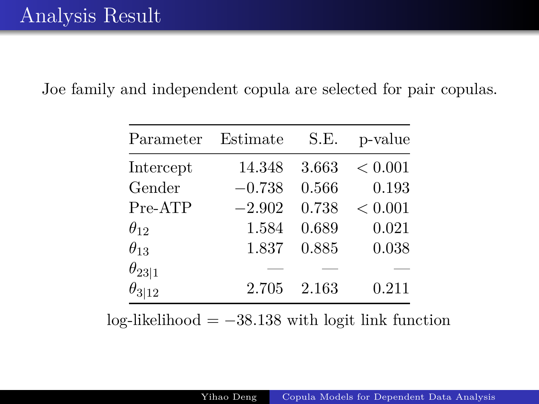Joe family and independent copula are selected for pair copulas.

| Parameter       | Estimate | S.E.  | p-value |
|-----------------|----------|-------|---------|
| Intercept       | 14.348   | 3.663 | < 0.001 |
| Gender          | $-0.738$ | 0.566 | 0.193   |
| Pre-ATP         | $-2.902$ | 0.738 | < 0.001 |
| $\theta_{12}$   | 1.584    | 0.689 | 0.021   |
| $\theta_{13}$   | 1.837    | 0.885 | 0.038   |
| $\theta_{23 1}$ |          |       |         |
| $\theta_{3 12}$ | 2.705    | 2.163 | 0.211   |

 $log-likelihood = -38.138$  with logit link function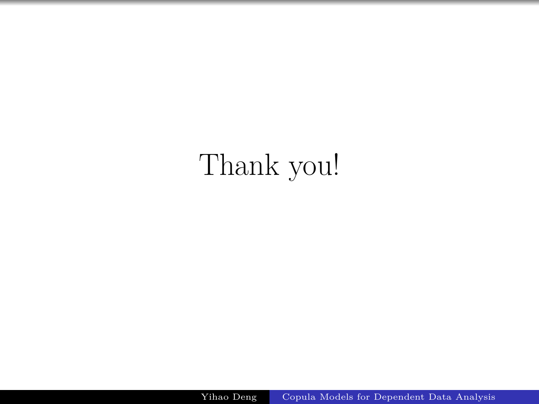# Thank you!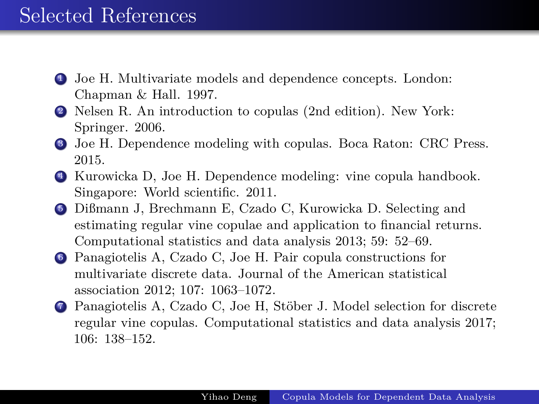#### Selected References

- <sup>1</sup> Joe H. Multivariate models and dependence concepts. London: Chapman & Hall. 1997.
- <sup>2</sup> Nelsen R. An introduction to copulas (2nd edition). New York: Springer. 2006.
- <sup>3</sup> Joe H. Dependence modeling with copulas. Boca Raton: CRC Press. 2015.
- <sup>4</sup> Kurowicka D, Joe H. Dependence modeling: vine copula handbook. Singapore: World scientific. 2011.
- <sup>5</sup> Dißmann J, Brechmann E, Czado C, Kurowicka D. Selecting and estimating regular vine copulae and application to financial returns. Computational statistics and data analysis 2013; 59: 52–69.
- <sup>6</sup> Panagiotelis A, Czado C, Joe H. Pair copula constructions for multivariate discrete data. Journal of the American statistical association 2012; 107: 1063–1072.
- <sup>7</sup> Panagiotelis A, Czado C, Joe H, Stöber J. Model selection for discrete regular vine copulas. Computational statistics and data analysis 2017; 106: 138–152.